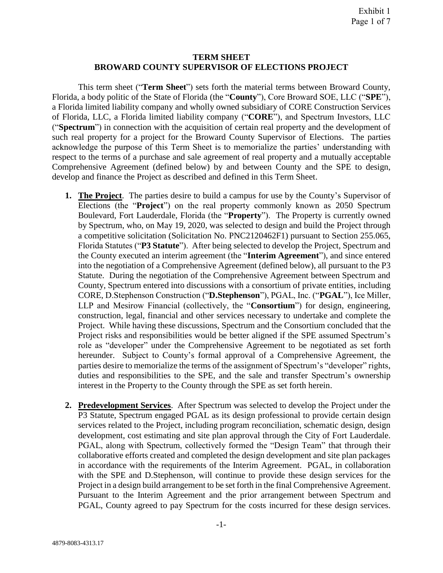#### **TERM SHEET BROWARD COUNTY SUPERVISOR OF ELECTIONS PROJECT**

This term sheet ("**Term Sheet**") sets forth the material terms between Broward County, Florida, a body politic of the State of Florida (the "**County**"), Core Broward SOE, LLC ("**SPE**"), a Florida limited liability company and wholly owned subsidiary of CORE Construction Services of Florida, LLC, a Florida limited liability company ("**CORE**"), and Spectrum Investors, LLC ("**Spectrum**") in connection with the acquisition of certain real property and the development of such real property for a project for the Broward County Supervisor of Elections. The parties acknowledge the purpose of this Term Sheet is to memorialize the parties' understanding with respect to the terms of a purchase and sale agreement of real property and a mutually acceptable Comprehensive Agreement (defined below) by and between County and the SPE to design, develop and finance the Project as described and defined in this Term Sheet.

- **1. The Project**. The parties desire to build a campus for use by the County's Supervisor of Elections (the "**Project**") on the real property commonly known as 2050 Spectrum Boulevard, Fort Lauderdale, Florida (the "**Property**"). The Property is currently owned by Spectrum, who, on May 19, 2020, was selected to design and build the Project through a competitive solicitation (Solicitation No. PNC2120462F1) pursuant to Section 255.065, Florida Statutes ("**P3 Statute**"). After being selected to develop the Project, Spectrum and the County executed an interim agreement (the "**Interim Agreement**"), and since entered into the negotiation of a Comprehensive Agreement (defined below), all pursuant to the P3 Statute. During the negotiation of the Comprehensive Agreement between Spectrum and County, Spectrum entered into discussions with a consortium of private entities, including CORE, D.Stephenson Construction ("**D.Stephenson**"), PGAL, Inc. ("**PGAL**"), Ice Miller, LLP and Mesirow Financial (collectively, the "**Consortium**") for design, engineering, construction, legal, financial and other services necessary to undertake and complete the Project. While having these discussions, Spectrum and the Consortium concluded that the Project risks and responsibilities would be better aligned if the SPE assumed Spectrum's role as "developer" under the Comprehensive Agreement to be negotiated as set forth hereunder. Subject to County's formal approval of a Comprehensive Agreement, the parties desire to memorialize the terms of the assignment of Spectrum's "developer" rights, duties and responsibilities to the SPE, and the sale and transfer Spectrum's ownership interest in the Property to the County through the SPE as set forth herein.
- **2. Predevelopment Services**. After Spectrum was selected to develop the Project under the P3 Statute, Spectrum engaged PGAL as its design professional to provide certain design services related to the Project, including program reconciliation, schematic design, design development, cost estimating and site plan approval through the City of Fort Lauderdale. PGAL, along with Spectrum, collectively formed the "Design Team" that through their collaborative efforts created and completed the design development and site plan packages in accordance with the requirements of the Interim Agreement. PGAL, in collaboration with the SPE and D.Stephenson, will continue to provide these design services for the Project in a design build arrangement to be set forth in the final Comprehensive Agreement. Pursuant to the Interim Agreement and the prior arrangement between Spectrum and PGAL, County agreed to pay Spectrum for the costs incurred for these design services.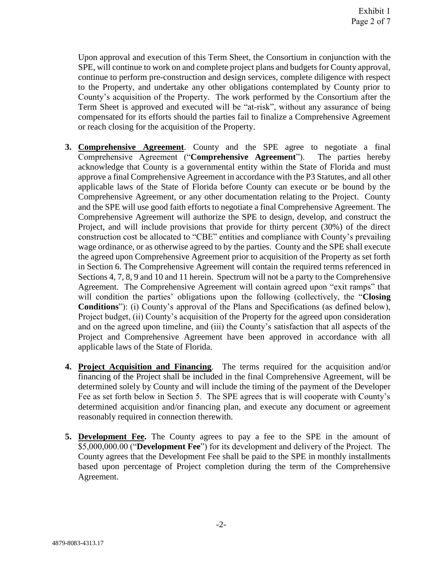Upon approval and execution of this Term Sheet, the Consortium in conjunction with the SPE, will continue to work on and complete project plans and budgets for County approval, continue to perform pre-construction and design services, complete diligence with respect to the Property, and undertake any other obligations contemplated by County prior to County's acquisition of the Property. The work performed by the Consortium after the Term Sheet is approved and executed will be "at-risk", without any assurance of being compensated for its efforts should the parties fail to finalize a Comprehensive Agreement or reach closing for the acquisition of the Property.

- **3. Comprehensive Agreement**. County and the SPE agree to negotiate a final Comprehensive Agreement ("**Comprehensive Agreement**"). The parties hereby acknowledge that County is a governmental entity within the State of Florida and must approve a final Comprehensive Agreement in accordance with the P3 Statutes, and all other applicable laws of the State of Florida before County can execute or be bound by the Comprehensive Agreement, or any other documentation relating to the Project. County and the SPE will use good faith efforts to negotiate a final Comprehensive Agreement. The Comprehensive Agreement will authorize the SPE to design, develop, and construct the Project, and will include provisions that provide for thirty percent (30%) of the direct construction cost be allocated to "CBE" entities and compliance with County's prevailing wage ordinance, or as otherwise agreed to by the parties. County and the SPE shall execute the agreed upon Comprehensive Agreement prior to acquisition of the Property as set forth in Section 6. The Comprehensive Agreement will contain the required terms referenced in Sections 4, 7, 8, 9 and 10 and 11 herein. Spectrum will not be a party to the Comprehensive Agreement. The Comprehensive Agreement will contain agreed upon "exit ramps" that will condition the parties' obligations upon the following (collectively, the "**Closing Conditions**"): (i) County's approval of the Plans and Specifications (as defined below), Project budget, (ii) County's acquisition of the Property for the agreed upon consideration and on the agreed upon timeline, and (iii) the County's satisfaction that all aspects of the Project and Comprehensive Agreement have been approved in accordance with all applicable laws of the State of Florida.
- **4. Project Acquisition and Financing**. The terms required for the acquisition and/or financing of the Project shall be included in the final Comprehensive Agreement, will be determined solely by County and will include the timing of the payment of the Developer Fee as set forth below in Section 5. The SPE agrees that is will cooperate with County's determined acquisition and/or financing plan, and execute any document or agreement reasonably required in connection therewith.
- **5. Development Fee.** The County agrees to pay a fee to the SPE in the amount of \$5,000,000.00 ("**Development Fee**") for its development and delivery of the Project. The County agrees that the Development Fee shall be paid to the SPE in monthly installments based upon percentage of Project completion during the term of the Comprehensive Agreement.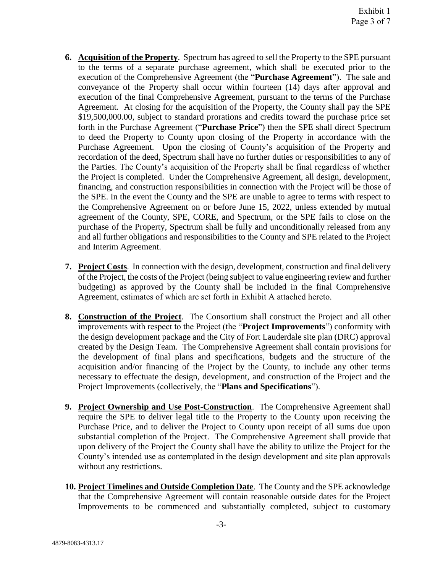- **6. Acquisition of the Property**. Spectrum has agreed to sell the Property to the SPE pursuant to the terms of a separate purchase agreement, which shall be executed prior to the execution of the Comprehensive Agreement (the "**Purchase Agreement**"). The sale and conveyance of the Property shall occur within fourteen (14) days after approval and execution of the final Comprehensive Agreement, pursuant to the terms of the Purchase Agreement. At closing for the acquisition of the Property, the County shall pay the SPE \$19,500,000.00, subject to standard prorations and credits toward the purchase price set forth in the Purchase Agreement ("**Purchase Price**") then the SPE shall direct Spectrum to deed the Property to County upon closing of the Property in accordance with the Purchase Agreement. Upon the closing of County's acquisition of the Property and recordation of the deed, Spectrum shall have no further duties or responsibilities to any of the Parties. The County's acquisition of the Property shall be final regardless of whether the Project is completed. Under the Comprehensive Agreement, all design, development, financing, and construction responsibilities in connection with the Project will be those of the SPE. In the event the County and the SPE are unable to agree to terms with respect to the Comprehensive Agreement on or before June 15, 2022, unless extended by mutual agreement of the County, SPE, CORE, and Spectrum, or the SPE fails to close on the purchase of the Property, Spectrum shall be fully and unconditionally released from any and all further obligations and responsibilities to the County and SPE related to the Project and Interim Agreement.
- **7. Project Costs**. In connection with the design, development, construction and final delivery of the Project, the costs of the Project (being subject to value engineering review and further budgeting) as approved by the County shall be included in the final Comprehensive Agreement, estimates of which are set forth in Exhibit A attached hereto.
- **8. Construction of the Project**. The Consortium shall construct the Project and all other improvements with respect to the Project (the "**Project Improvements**") conformity with the design development package and the City of Fort Lauderdale site plan (DRC) approval created by the Design Team. The Comprehensive Agreement shall contain provisions for the development of final plans and specifications, budgets and the structure of the acquisition and/or financing of the Project by the County, to include any other terms necessary to effectuate the design, development, and construction of the Project and the Project Improvements (collectively, the "**Plans and Specifications**").
- **9. Project Ownership and Use Post-Construction**. The Comprehensive Agreement shall require the SPE to deliver legal title to the Property to the County upon receiving the Purchase Price, and to deliver the Project to County upon receipt of all sums due upon substantial completion of the Project. The Comprehensive Agreement shall provide that upon delivery of the Project the County shall have the ability to utilize the Project for the County's intended use as contemplated in the design development and site plan approvals without any restrictions.
- **10. Project Timelines and Outside Completion Date**. The County and the SPE acknowledge that the Comprehensive Agreement will contain reasonable outside dates for the Project Improvements to be commenced and substantially completed, subject to customary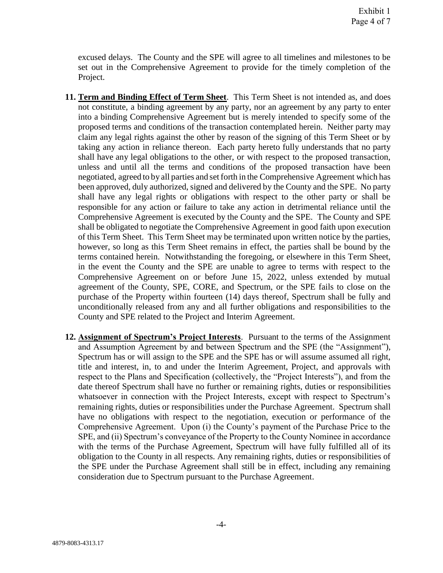excused delays. The County and the SPE will agree to all timelines and milestones to be set out in the Comprehensive Agreement to provide for the timely completion of the Project.

- **11. Term and Binding Effect of Term Sheet**. This Term Sheet is not intended as, and does not constitute, a binding agreement by any party, nor an agreement by any party to enter into a binding Comprehensive Agreement but is merely intended to specify some of the proposed terms and conditions of the transaction contemplated herein. Neither party may claim any legal rights against the other by reason of the signing of this Term Sheet or by taking any action in reliance thereon. Each party hereto fully understands that no party shall have any legal obligations to the other, or with respect to the proposed transaction, unless and until all the terms and conditions of the proposed transaction have been negotiated, agreed to by all parties and set forth in the Comprehensive Agreement which has been approved, duly authorized, signed and delivered by the County and the SPE. No party shall have any legal rights or obligations with respect to the other party or shall be responsible for any action or failure to take any action in detrimental reliance until the Comprehensive Agreement is executed by the County and the SPE. The County and SPE shall be obligated to negotiate the Comprehensive Agreement in good faith upon execution of this Term Sheet. This Term Sheet may be terminated upon written notice by the parties, however, so long as this Term Sheet remains in effect, the parties shall be bound by the terms contained herein. Notwithstanding the foregoing, or elsewhere in this Term Sheet, in the event the County and the SPE are unable to agree to terms with respect to the Comprehensive Agreement on or before June 15, 2022, unless extended by mutual agreement of the County, SPE, CORE, and Spectrum, or the SPE fails to close on the purchase of the Property within fourteen (14) days thereof, Spectrum shall be fully and unconditionally released from any and all further obligations and responsibilities to the County and SPE related to the Project and Interim Agreement.
- **12.** Assignment of Spectrum's Project Interests. Pursuant to the terms of the Assignment and Assumption Agreement by and between Spectrum and the SPE (the "Assignment"), Spectrum has or will assign to the SPE and the SPE has or will assume assumed all right, title and interest, in, to and under the Interim Agreement, Project, and approvals with respect to the Plans and Specification (collectively, the "Project Interests"), and from the date thereof Spectrum shall have no further or remaining rights, duties or responsibilities whatsoever in connection with the Project Interests, except with respect to Spectrum's remaining rights, duties or responsibilities under the Purchase Agreement. Spectrum shall have no obligations with respect to the negotiation, execution or performance of the Comprehensive Agreement. Upon (i) the County's payment of the Purchase Price to the SPE, and (ii) Spectrum's conveyance of the Property to the County Nominee in accordance with the terms of the Purchase Agreement, Spectrum will have fully fulfilled all of its obligation to the County in all respects. Any remaining rights, duties or responsibilities of the SPE under the Purchase Agreement shall still be in effect, including any remaining consideration due to Spectrum pursuant to the Purchase Agreement.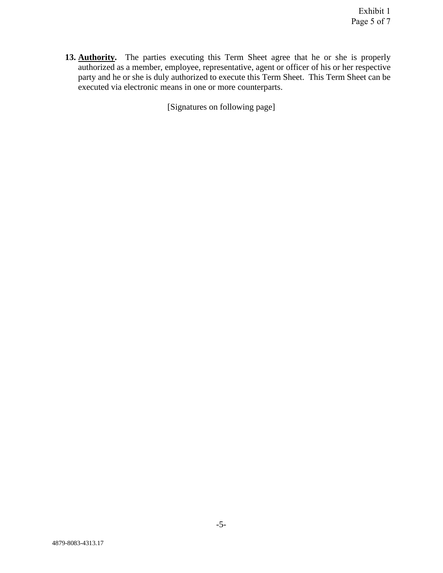13. Authority. The parties executing this Term Sheet agree that he or she is properly authorized as a member, employee, representative, agent or officer of his or her respective party and he or she is duly authorized to execute this Term Sheet. This Term Sheet can be executed via electronic means in one or more counterparts.

[Signatures on following page]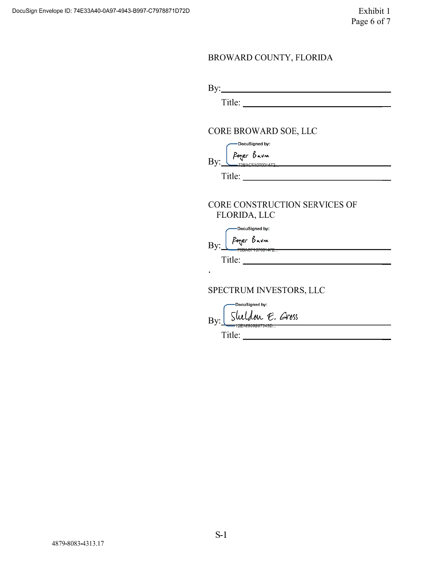### BROWARD COUNTY, FLORIDA

| ᡣ<br>11IAP |  |  |  |
|------------|--|--|--|

#### CORE BROWARD SOE, LLC

-DocuSigned by: C

|              |  | りゃりん |  |  |  |
|--------------|--|------|--|--|--|
| $B\Lambda$ . |  |      |  |  |  |

Title:

# CORE CONSTRUCTION SERVICES OF FLORIDA, LLC

-DocuSigned by: Poger Bavn - Davn<br>|GF107001472... By:

Title:

 $\bullet$ 

# SPECTRUM INVESTORS, LLC

-DocuSianed by: Sluldon E. Gross By:

Title: